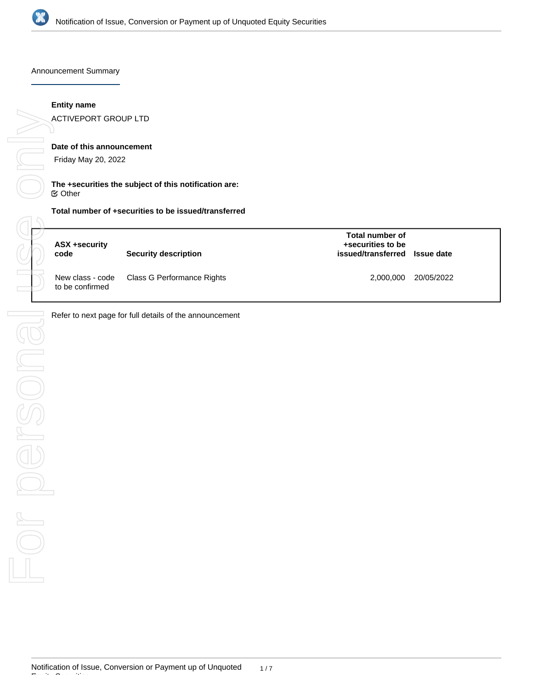

Announcement Summary

#### **Entity name**

ACTIVEPORT GROUP LTD

# **Date of this announcement**

Friday May 20, 2022

#### **The +securities the subject of this notification are:** Other

# **Total number of +securities to be issued/transferred**

| ASX +security<br>code | <b>Security description</b>                 | Total number of<br>+securities to be<br>issued/transferred Issue date |            |
|-----------------------|---------------------------------------------|-----------------------------------------------------------------------|------------|
| to be confirmed       | New class - code Class G Performance Rights | 2.000.000                                                             | 20/05/2022 |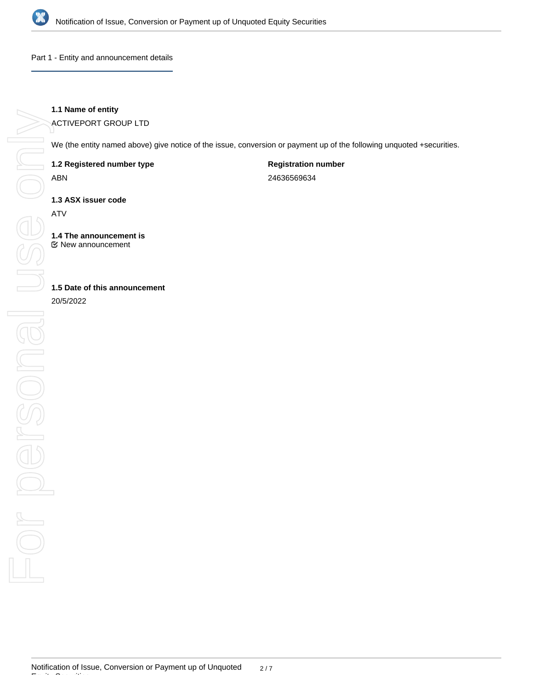

Part 1 - Entity and announcement details

# **1.1 Name of entity**

ACTIVEPORT GROUP LTD

We (the entity named above) give notice of the issue, conversion or payment up of the following unquoted +securities.

**1.2 Registered number type**

ABN

**Registration number** 24636569634

**1.3 ASX issuer code**

ATV

**1.4 The announcement is** New announcement

# **1.5 Date of this announcement**

20/5/2022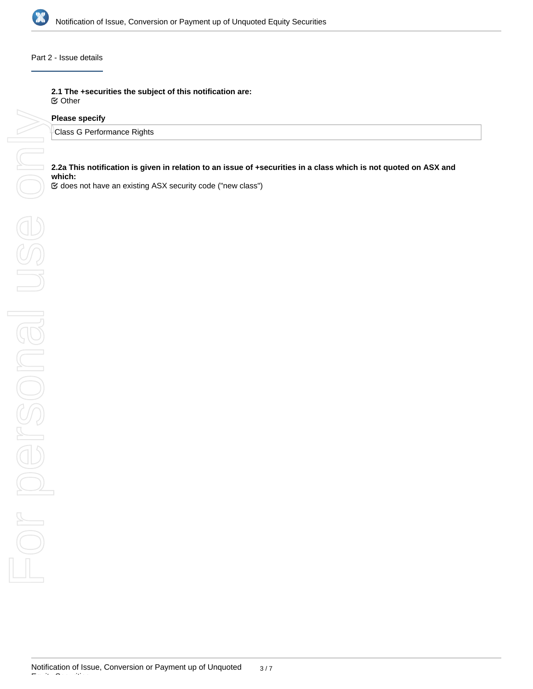

#### Part 2 - Issue details

**2.1 The +securities the subject of this notification are:** Other

#### **Please specify**

Class G Performance Rights

**2.2a This notification is given in relation to an issue of +securities in a class which is not quoted on ASX and which:**

does not have an existing ASX security code ("new class")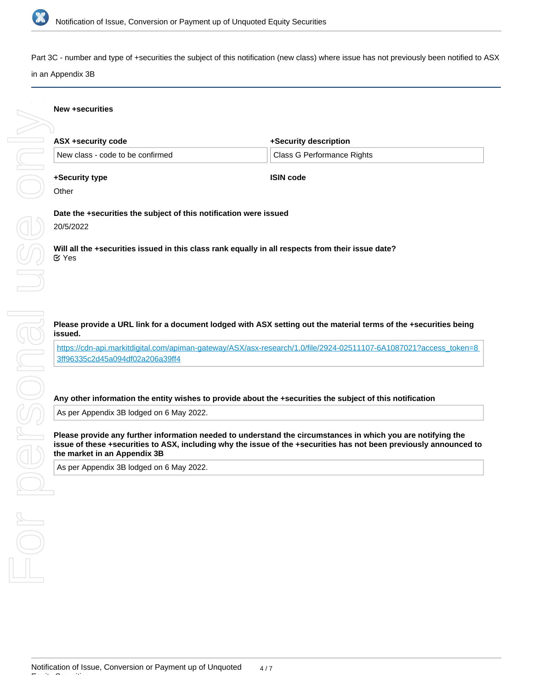

Part 3C - number and type of +securities the subject of this notification (new class) where issue has not previously been notified to ASX

# in an Appendix 3B

#### **New +securities**

| ASX +security code               | +Security description      |  |
|----------------------------------|----------------------------|--|
| New class - code to be confirmed | Class G Performance Rights |  |
|                                  |                            |  |

**ISIN code**

#### **+Security type**

**Other** 

**Date the +securities the subject of this notification were issued**

20/5/2022

**Will all the +securities issued in this class rank equally in all respects from their issue date?** Yes

# **issued.**

[https://cdn-api.markitdigital.com/apiman-gateway/ASX/asx-research/1.0/file/2924-02511107-6A1087021?access\\_token=8](https://cdn-api.markitdigital.com/apiman-gateway/ASX/asx-research/1.0/file/2924-02511107-6A1087021?access_token=83ff96335c2d45a094df02a206a39ff4) [3ff96335c2d45a094df02a206a39ff4](https://cdn-api.markitdigital.com/apiman-gateway/ASX/asx-research/1.0/file/2924-02511107-6A1087021?access_token=83ff96335c2d45a094df02a206a39ff4)

#### **Any other information the entity wishes to provide about the +securities the subject of this notification**

As per Appendix 3B lodged on 6 May 2022.

**Please provide a URL link for a document lodged with ASX setting out the material terms of the +securities being<br>https://dn-api.markitdigital.com/apiman-gateway/ASX/asx-research/1.0/flie/2924-02511107-6A10870217access\_tok Please provide any further information needed to understand the circumstances in which you are notifying the issue of these +securities to ASX, including why the issue of the +securities has not been previously announced to the market in an Appendix 3B**

As per Appendix 3B lodged on 6 May 2022.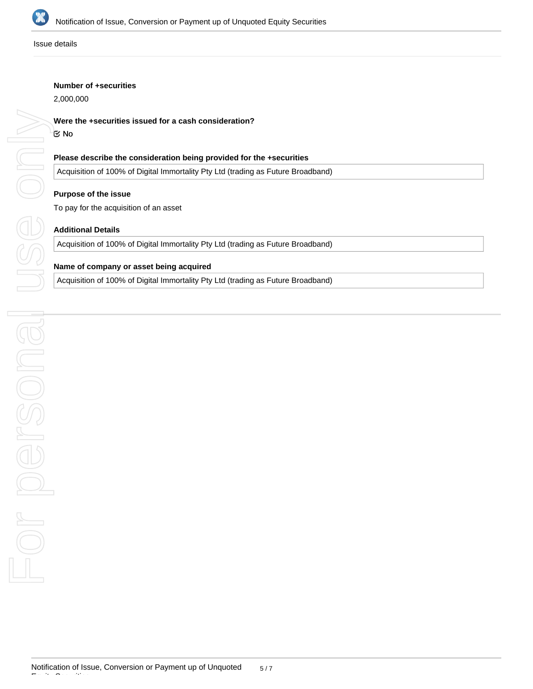

Issue details

#### **Number of +securities**

2,000,000

#### **Were the +securities issued for a cash consideration?**

#### No

#### **Please describe the consideration being provided for the +securities**

Acquisition of 100% of Digital Immortality Pty Ltd (trading as Future Broadband)

#### **Purpose of the issue**

To pay for the acquisition of an asset

#### **Additional Details**

Acquisition of 100% of Digital Immortality Pty Ltd (trading as Future Broadband)

# **Name of company or asset being acquired**

Acquisition of 100% of Digital Immortality Pty Ltd (trading as Future Broadband)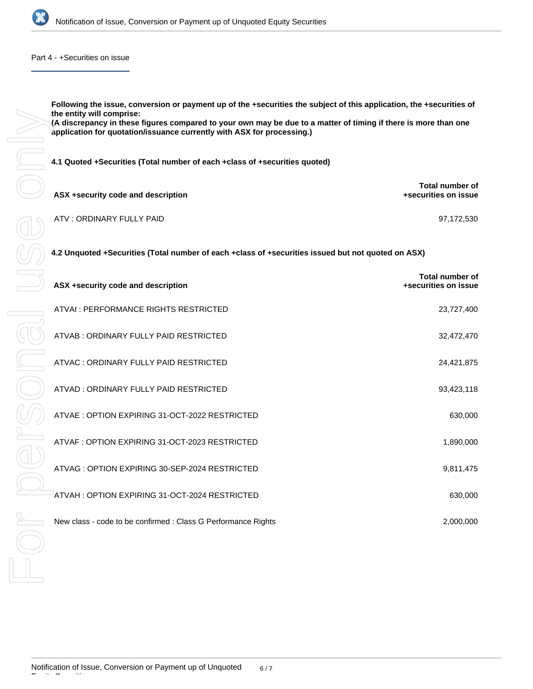

Part 4 - +Securities on issue

**Following the issue, conversion or payment up of the +securities the subject of this application, the +securities of the entity will comprise: (A discrepancy in these figures compared to your own may be due to a matter of timing if there is more than one application for quotation/issuance currently with ASX for processing.)**

**4.1 Quoted +Securities (Total number of each +class of +securities quoted)**

| ASX +security code and description | Total number of<br>+securities on issue |
|------------------------------------|-----------------------------------------|
| ATV : ORDINARY FULLY PAID          | 97.172.530                              |

**4.2 Unquoted +Securities (Total number of each +class of +securities issued but not quoted on ASX)**

| ASX +security code and description                            | <b>Total number of</b><br>+securities on issue |
|---------------------------------------------------------------|------------------------------------------------|
| ATVAL: PERFORMANCE RIGHTS RESTRICTED                          | 23,727,400                                     |
| ATVAB: ORDINARY FULLY PAID RESTRICTED                         | 32,472,470                                     |
| ATVAC: ORDINARY FULLY PAID RESTRICTED                         | 24,421,875                                     |
| ATVAD: ORDINARY FULLY PAID RESTRICTED                         | 93,423,118                                     |
| ATVAE: OPTION EXPIRING 31-OCT-2022 RESTRICTED                 | 630,000                                        |
| ATVAF: OPTION EXPIRING 31-OCT-2023 RESTRICTED                 | 1,890,000                                      |
| ATVAG: OPTION EXPIRING 30-SEP-2024 RESTRICTED                 | 9,811,475                                      |
| ATVAH: OPTION EXPIRING 31-OCT-2024 RESTRICTED                 | 630,000                                        |
| New class - code to be confirmed : Class G Performance Rights | 2,000,000                                      |